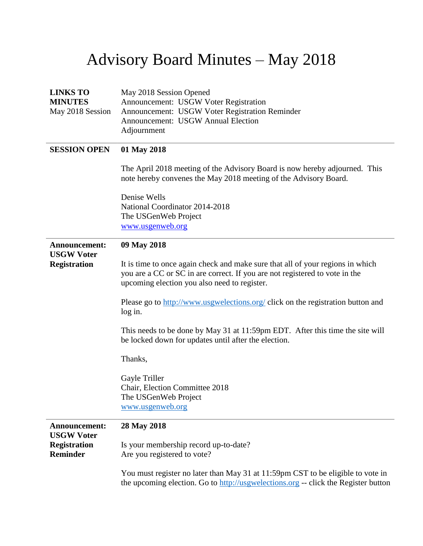## Advisory Board Minutes – May 2018

| <b>LINKS TO</b><br><b>MINUTES</b>         | May 2018 Session Opened<br>Announcement: USGW Voter Registration                                                                               |
|-------------------------------------------|------------------------------------------------------------------------------------------------------------------------------------------------|
| May 2018 Session                          | Announcement: USGW Voter Registration Reminder                                                                                                 |
|                                           | <b>Announcement: USGW Annual Election</b>                                                                                                      |
|                                           | Adjournment                                                                                                                                    |
| <b>SESSION OPEN</b>                       | 01 May 2018                                                                                                                                    |
|                                           | The April 2018 meeting of the Advisory Board is now hereby adjourned. This<br>note hereby convenes the May 2018 meeting of the Advisory Board. |
|                                           | Denise Wells                                                                                                                                   |
|                                           | National Coordinator 2014-2018                                                                                                                 |
|                                           | The USGenWeb Project                                                                                                                           |
|                                           | www.usgenweb.org                                                                                                                               |
| Announcement:<br><b>USGW Voter</b>        | 09 May 2018                                                                                                                                    |
| <b>Registration</b>                       | It is time to once again check and make sure that all of your regions in which                                                                 |
|                                           | you are a CC or SC in are correct. If you are not registered to vote in the                                                                    |
|                                           | upcoming election you also need to register.                                                                                                   |
|                                           | Please go to http://www.usgwelections.org/ click on the registration button and                                                                |
|                                           | log in.                                                                                                                                        |
|                                           | This needs to be done by May 31 at 11:59pm EDT. After this time the site will                                                                  |
|                                           | be locked down for updates until after the election.                                                                                           |
|                                           | Thanks,                                                                                                                                        |
|                                           | Gayle Triller                                                                                                                                  |
|                                           | Chair, Election Committee 2018                                                                                                                 |
|                                           | The USGenWeb Project                                                                                                                           |
|                                           | www.usgenweb.org                                                                                                                               |
| <b>Announcement:</b><br><b>USGW Voter</b> | 28 May 2018                                                                                                                                    |
| <b>Registration</b>                       | Is your membership record up-to-date?                                                                                                          |
| <b>Reminder</b>                           | Are you registered to vote?                                                                                                                    |
|                                           | You must register no later than May 31 at 11:59pm CST to be eligible to vote in                                                                |
|                                           | the upcoming election. Go to http://usgwelections.org -- click the Register button                                                             |
|                                           |                                                                                                                                                |